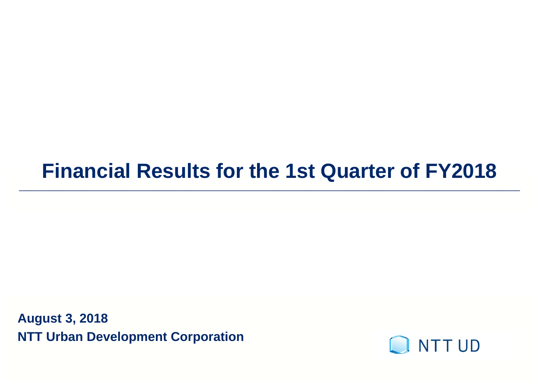### **Financial Results for the 1st Quarter of FY2018**

**August 3, 2018 NTT Urban Development Corporation**

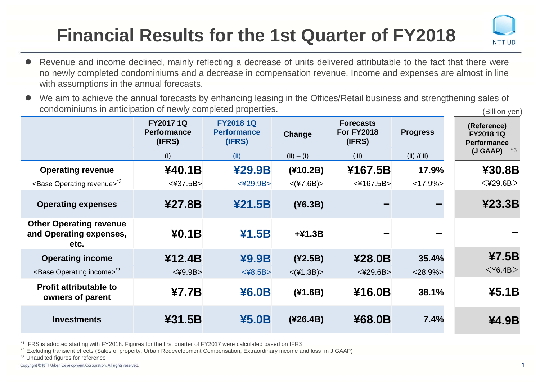### **Financial Results for the 1st Quarter of FY2018**



- $\bullet$  Revenue and income declined, mainly reflecting <sup>a</sup> decrease of units delivered attributable to the fact that there were no newly completed condominiums and <sup>a</sup> decrease in compensation revenue. Income and expenses are almost in line with assumptions in the annual forecasts.
- $\bullet$  We aim to achieve the annual forecasts by enhancing leasing in the Offices/Retail business and strengthening sales of condominiums in anticipation of newly completed properties. (Billion yen)

|                                                                   | <b>FY20171Q</b><br><b>Performance</b><br>(IFRS)<br>(i) | <b>FY20181Q</b><br><b>Performance</b><br>(IFRS)<br>(ii) | Change<br>$(ii) - (i)$ | <b>Forecasts</b><br><b>For FY2018</b><br>(IFRS)<br>(iii) | <b>Progress</b><br>(ii) / (iii) | (Reference)<br><b>FY20181Q</b><br><b>Performance</b><br>$*3$<br>(J GAAP) |
|-------------------------------------------------------------------|--------------------------------------------------------|---------------------------------------------------------|------------------------|----------------------------------------------------------|---------------------------------|--------------------------------------------------------------------------|
| <b>Operating revenue</b>                                          | ¥40.1B                                                 | ¥29.9B                                                  | (410.2B)               | ¥167.5B                                                  | 17.9%                           | ¥30.8B                                                                   |
| <base operating="" revenue=""/> <sup>2</sup>                      | $<$ ¥37.5B $>$                                         | $<$ ¥29.9B $>$                                          | $<$ (¥7.6B) >          | $<$ ¥167.5B $>$                                          | $<17.9\%$                       | $<$ ¥29.6B $>$                                                           |
| <b>Operating expenses</b>                                         | ¥27.8B                                                 | 421.5B                                                  | (46.3B)                |                                                          |                                 | 423.3B                                                                   |
| <b>Other Operating revenue</b><br>and Operating expenses,<br>etc. | 40.1B                                                  | 41.5B                                                   | $+41.3B$               |                                                          |                                 |                                                                          |
| <b>Operating income</b>                                           | ¥12.4B                                                 | ¥9.9B                                                   | (42.5B)                | ¥28.0B                                                   | 35.4%                           | 47.5B                                                                    |
| <base income="" operating=""/> <sup>2</sup>                       | $<$ ¥9.9B $>$                                          | $<$ ¥8.5B $>$                                           | $<$ (¥1.3B) $>$        | $<$ ¥29.6B $>$                                           | $<$ 28.9% $>$                   | $<$ ¥6.4B $>$                                                            |
| <b>Profit attributable to</b><br>owners of parent                 | 47.7B                                                  | ¥6.0B                                                   | (41.6B)                | ¥16.0B                                                   | 38.1%                           | 45.1B                                                                    |
| <b>Investments</b>                                                | ¥31.5B                                                 | ¥5.0B                                                   | $(*26.4B)$             | ¥68.0B                                                   | 7.4%                            | ¥4.9B                                                                    |

\*1 IFRS is adopted starting with FY2018. Figures for the first quarter of FY2017 were calculated based on IFRS

\*2 Excluding transient effects (Sales of property, Urban Redevelopment Compensation, Extraordinary income and loss in J GAAP)

\*3 Unaudited figures for reference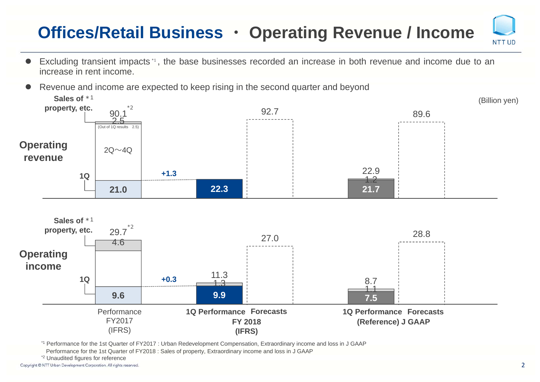### **Offices/Retail Business ・ Operating Revenue / Income**

 $\bullet$  Excluding transient impacts \*1 , the base businesses recorded an increase in both revenue and income due to an increase in rent income.



\*1 Performance for the 1st Quarter of FY2017 : Urban Redevelopment Compensation, Extraordinary income and loss in J GAAP

Performance for the 1st Quarter of FY2018 : Sales of property, Extraordinary income and loss in J GAAP

\*2 Unaudited figures for reference

Copyright @ NTT Urban Development Corporation. All rights reserved.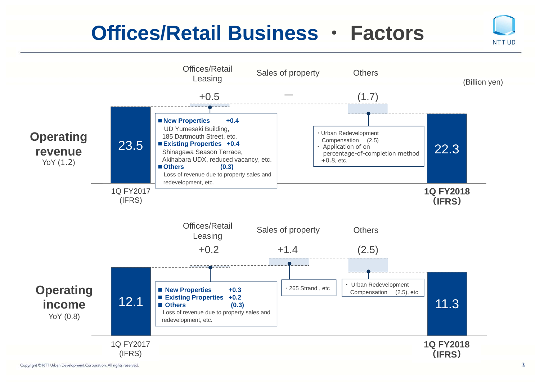#### **Offices/Retail Business ・ Factors**

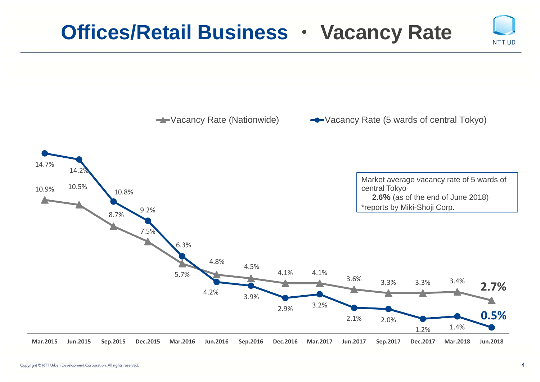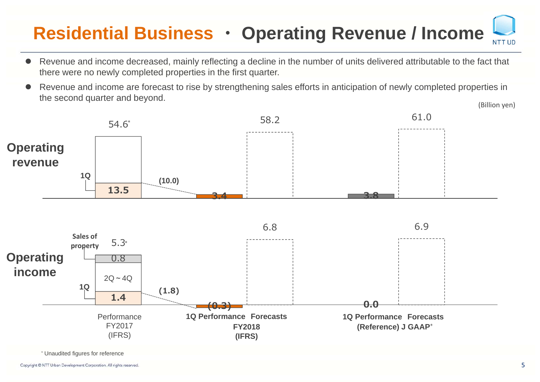#### **Residential Business ・ Operating Revenue / Income** NTT UD

- $\bullet$  Revenue and income decreased, mainly reflecting a decline in the number of units delivered attributable to the fact that there were no newly completed properties in the first quarter.
- $\bullet$  Revenue and income are forecast to rise by strengthening sales efforts in anticipation of newly completed properties in the second quarter and beyond. (Billion yen)



\* Unaudited figures for reference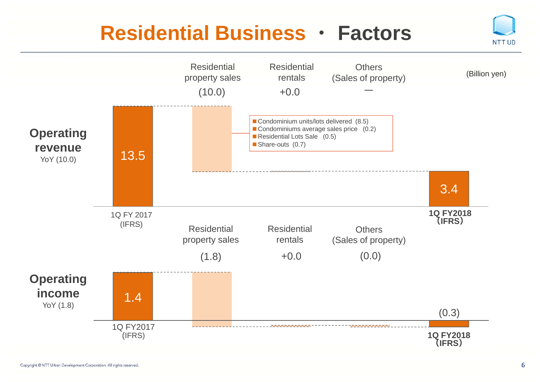#### **Residential Business・ Factors**

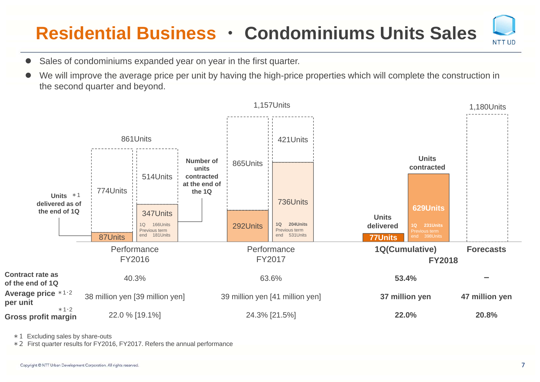### **Residential Business ・ Condominiums Units Sales**

- $\bullet$ Sales of condominiums expanded year on year in the first quarter.
- $\bullet$  We will improve the average price per unit by having the high-price properties which will complete the construction in the second quarter and beyond.



\*1 Excluding sales by share-outs

\*2 First quarter results for FY2016, FY2017. Refers the annual performance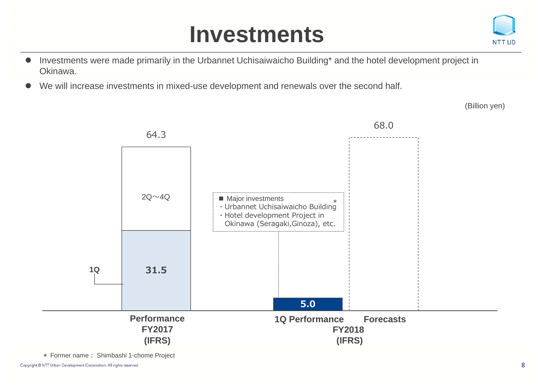# **Investments**



- $\bullet$  Investments were made primarily in the Urbannet Uchisaiwaicho Building\* and the hotel development project in Okinawa.
- $\bullet$ We will increase investments in mixed-use development and renewals over the second half.

(Billion yen)



\* Former name: Shimbashi 1-chome Project

Copyright @ NTT Urban Development Corporation. All rights reserved.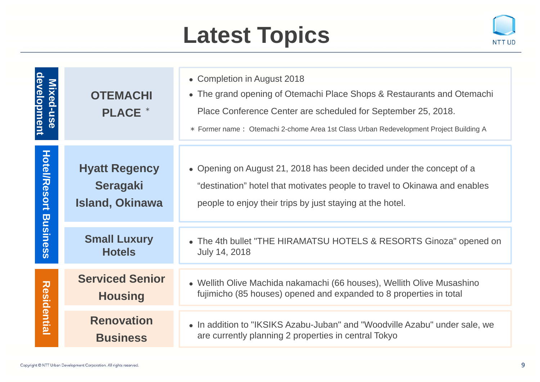# **Latest Topics**



| development<br>Mixed-use | <b>OTEMACHI</b><br><b>PLACE</b> *                                 | • Completion in August 2018<br>• The grand opening of Otemachi Place Shops & Restaurants and Otemachi<br>Place Conference Center are scheduled for September 25, 2018.<br>* Former name: Otemachi 2-chome Area 1st Class Urban Redevelopment Project Building A |
|--------------------------|-------------------------------------------------------------------|-----------------------------------------------------------------------------------------------------------------------------------------------------------------------------------------------------------------------------------------------------------------|
| <b>Hotel/Resort</b>      | <b>Hyatt Regency</b><br><b>Seragaki</b><br><b>Island, Okinawa</b> | • Opening on August 21, 2018 has been decided under the concept of a<br>"destination" hotel that motivates people to travel to Okinawa and enables<br>people to enjoy their trips by just staying at the hotel.                                                 |
| <b>Business</b>          | <b>Small Luxury</b><br><b>Hotels</b>                              | • The 4th bullet "THE HIRAMATSU HOTELS & RESORTS Ginoza" opened on<br>July 14, 2018                                                                                                                                                                             |
|                          | <b>Serviced Senior</b><br><b>Housing</b>                          | • Wellith Olive Machida nakamachi (66 houses), Wellith Olive Musashino<br>fujimicho (85 houses) opened and expanded to 8 properties in total                                                                                                                    |
| <b>Residential</b>       | <b>Renovation</b><br><b>Business</b>                              | • In addition to "IKSIKS Azabu-Juban" and "Woodville Azabu" under sale, we<br>are currently planning 2 properties in central Tokyo                                                                                                                              |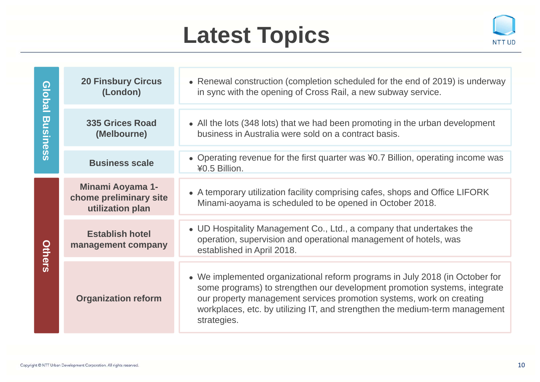# **Latest Topics**



| <b>Global</b>   | <b>20 Finsbury Circus</b><br>(London)                                 | • Renewal construction (completion scheduled for the end of 2019) is underway<br>in sync with the opening of Cross Rail, a new subway service.                                                                                                                                                                                  |
|-----------------|-----------------------------------------------------------------------|---------------------------------------------------------------------------------------------------------------------------------------------------------------------------------------------------------------------------------------------------------------------------------------------------------------------------------|
| <b>Business</b> | <b>335 Grices Road</b><br>(Melbourne)                                 | • All the lots (348 lots) that we had been promoting in the urban development<br>business in Australia were sold on a contract basis.                                                                                                                                                                                           |
|                 | <b>Business scale</b>                                                 | • Operating revenue for the first quarter was ¥0.7 Billion, operating income was<br>¥0.5 Billion.                                                                                                                                                                                                                               |
|                 | <b>Minami Aoyama 1-</b><br>chome preliminary site<br>utilization plan | • A temporary utilization facility comprising cafes, shops and Office LIFORK<br>Minami-aoyama is scheduled to be opened in October 2018.                                                                                                                                                                                        |
| Others          | <b>Establish hotel</b><br>management company                          | • UD Hospitality Management Co., Ltd., a company that undertakes the<br>operation, supervision and operational management of hotels, was<br>established in April 2018.                                                                                                                                                          |
|                 | <b>Organization reform</b>                                            | • We implemented organizational reform programs in July 2018 (in October for<br>some programs) to strengthen our development promotion systems, integrate<br>our property management services promotion systems, work on creating<br>workplaces, etc. by utilizing IT, and strengthen the medium-term management<br>strategies. |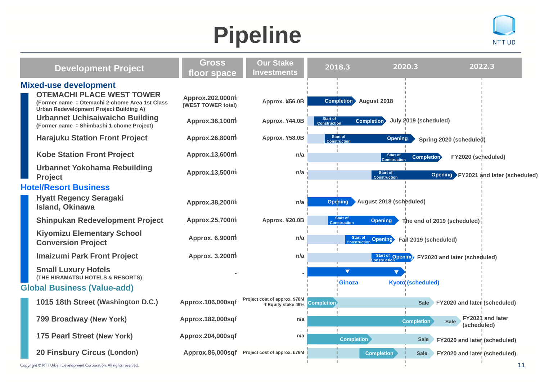# **Pipeline**



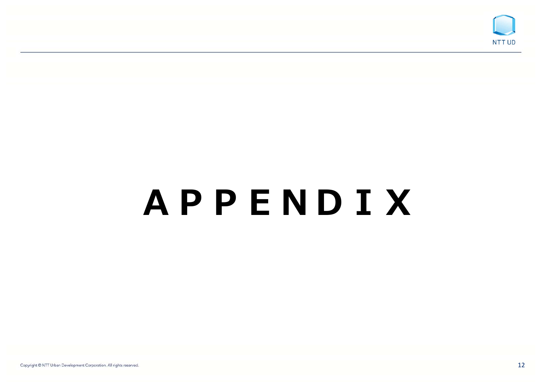

# *A***PPE***NDIX*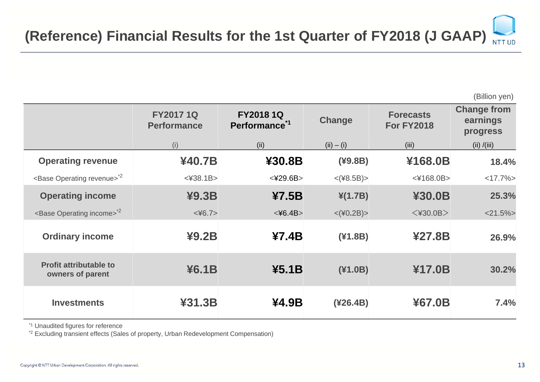(Billion yen)

|                                                   | <b>FY20171Q</b><br><b>Performance</b> | <b>FY20181Q</b><br>Performance <sup>*1</sup> | <b>Change</b>   | <b>Forecasts</b><br><b>For FY2018</b> | <b>Change from</b><br>earnings<br>progress |
|---------------------------------------------------|---------------------------------------|----------------------------------------------|-----------------|---------------------------------------|--------------------------------------------|
|                                                   | (i)                                   | (ii)                                         | $(ii) - (i)$    | (iii)                                 | (ii) / (iii)                               |
| <b>Operating revenue</b>                          | ¥40.7B                                | ¥30.8B                                       | (49.8B)         | ¥168.0B                               | 18.4%                                      |
| <base operating="" revenue=""/> <sup>2</sup>      | $<$ ¥38.1B $>$                        | $<$ ¥29.6B $>$                               | $<$ (¥8.5B)>    | <¥168.0B>                             | $<17.7\%>$                                 |
| <b>Operating income</b>                           | 49.3B                                 | 47.5B                                        | $\angle(1.7B)$  | ¥30.0B                                | 25.3%                                      |
| <base income="" operating=""/> <sup>2</sup>       | $<\times$ 46.7>                       | $<$ ¥6.4B $>$                                | $<$ (¥0.2B) $>$ | $<$ ¥30.0B $>$                        | $<$ 21.5% $>$                              |
| <b>Ordinary income</b>                            | 49.2B                                 | 47.4B                                        | (41.8B)         | ¥27.8B                                | 26.9%                                      |
| <b>Profit attributable to</b><br>owners of parent | 46.1B                                 | 45.1B                                        | (41.0B)         | ¥17.0B                                | 30.2%                                      |
| <b>Investments</b>                                | ¥31.3B                                | ¥4.9B                                        | (426.4B)        | ¥67.0B                                | 7.4%                                       |

\*1 Unaudited figures for reference

\*2 Excluding transient effects (Sales of property, Urban Redevelopment Compensation)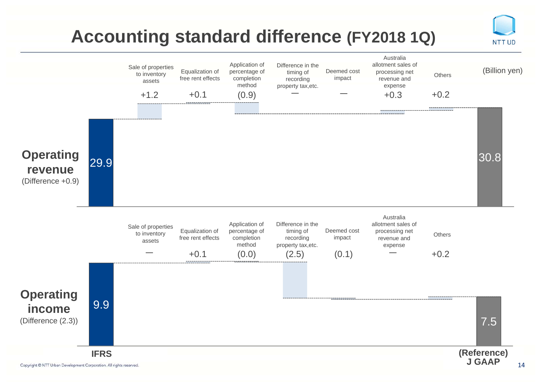### **Accounting standard difference (FY2018 1Q)**

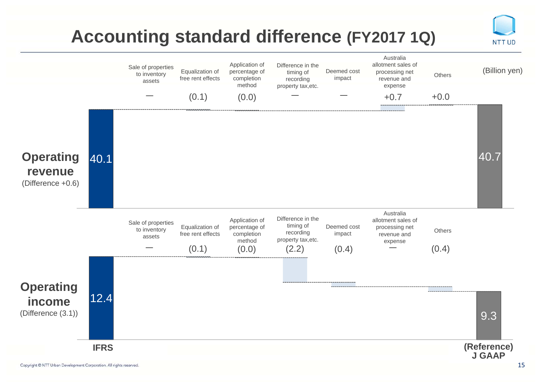### **Accounting standard difference (FY2017 1Q)**

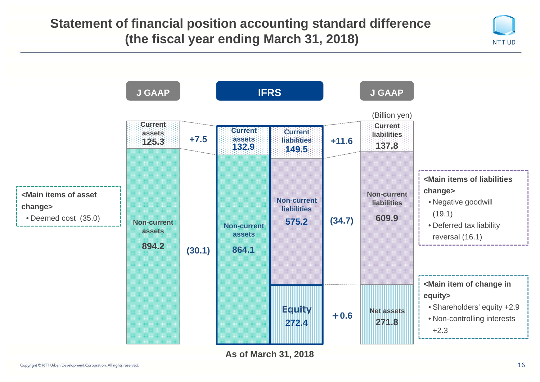#### **Statement of financial position accounting standard difference (the fiscal year ending March 31, 2018)**



**As of March 31, 2018**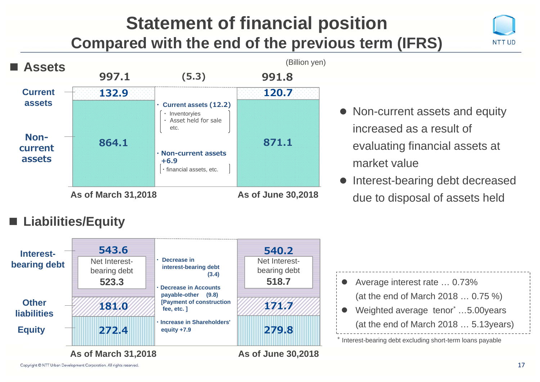#### **Statement of financial position Compared with the end of the previous term (IFRS)**





- Non-current assets and equity increased as a result of evaluating financial assets at market value
- $\bullet$  Interest-bearing debt decreased due to disposal of assets held

#### **■ Liabilities/Equity**



\* Interest-bearing debt excluding short-term loans payable Average interest rate … 0.73% (at the end of March 2018 … 0.75 %) Weighted average tenor<sup>\*</sup> ...5.00 years (at the end of March 2018 … 5.13years)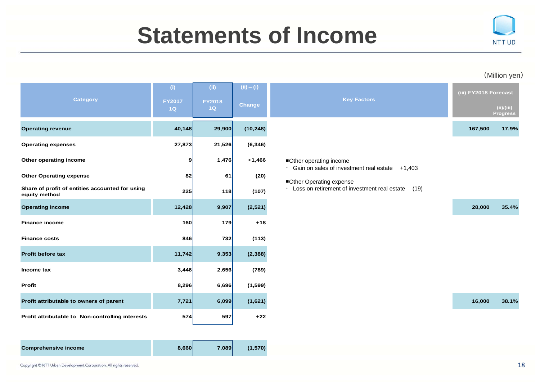# **Statements of Income**



#### (Million yen)

| <b>Category</b>                                                  | (i)<br><b>FY2017</b> | (ii)<br><b>FY2018</b> | $(ii) - (i)$  | <b>Key Factors</b>                                                                | (iii) FY2018 Forecast |                               |
|------------------------------------------------------------------|----------------------|-----------------------|---------------|-----------------------------------------------------------------------------------|-----------------------|-------------------------------|
|                                                                  | 1Q                   | 1Q                    | <b>Change</b> |                                                                                   |                       | (ii)/(iii)<br><b>Progress</b> |
| <b>Operating revenue</b>                                         | 40,148               | 29,900                | (10, 248)     |                                                                                   | 167,500               | 17.9%                         |
| <b>Operating expenses</b>                                        | 27,873               | 21,526                | (6, 346)      |                                                                                   |                       |                               |
| Other operating income                                           | 9                    | 1,476                 | $+1,466$      | ■Other operating income<br>$\cdot$ Gain on sales of investment real estate +1,403 |                       |                               |
| <b>Other Operating expense</b>                                   | 82                   | 61                    | (20)          | Other Operating expense                                                           |                       |                               |
| Share of profit of entities accounted for using<br>equity method | 225                  | 118                   | (107)         | · Loss on retirement of investment real estate<br>(19)                            |                       |                               |
| <b>Operating income</b>                                          | 12,428               | 9,907                 | (2,521)       |                                                                                   | 28,000                | 35.4%                         |
| <b>Finance income</b>                                            | 160                  | 179                   | $+18$         |                                                                                   |                       |                               |
| <b>Finance costs</b>                                             | 846                  | 732                   | (113)         |                                                                                   |                       |                               |
| <b>Profit before tax</b>                                         | 11,742               | 9,353                 | (2, 388)      |                                                                                   |                       |                               |
| Income tax                                                       | 3,446                | 2,656                 | (789)         |                                                                                   |                       |                               |
| Profit                                                           | 8,296                | 6,696                 | (1, 599)      |                                                                                   |                       |                               |
| Profit attributable to owners of parent                          | 7,721                | 6,099                 | (1,621)       |                                                                                   | 16,000                | 38.1%                         |
| Profit attributable to Non-controlling interests                 | 574                  | 597                   | $+22$         |                                                                                   |                       |                               |

| <b>Comprehensive income</b> | 8.660 | 7.089 | (1,570) |
|-----------------------------|-------|-------|---------|
|-----------------------------|-------|-------|---------|

| <b>Key Factors</b>                                                                           | (iii) FY2018 Forecast |                               |
|----------------------------------------------------------------------------------------------|-----------------------|-------------------------------|
|                                                                                              |                       | (ii)/(iii)<br><b>Progress</b> |
|                                                                                              | 167,500               | 17.9%                         |
|                                                                                              |                       |                               |
| Other operating income<br>Gain on sales of investment real estate<br>$+1,403$<br>$\bullet$ . |                       |                               |
| Other Operating expense<br>Loss on retirement of investment real estate<br>(19)              |                       |                               |
|                                                                                              | 28,000                | 35.4%                         |
|                                                                                              |                       |                               |
|                                                                                              |                       |                               |
|                                                                                              |                       |                               |
|                                                                                              |                       |                               |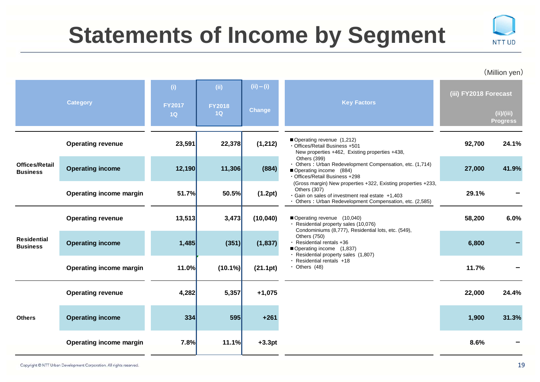# **Statements of Income by Segment**



(Million yen)

| <b>Category</b>                          |                                | (i)                 | (ii)                                                                                                                                                                                                                       | $(ii) - (i)$  | <b>Key Factors</b>                                                                                                                    | (iii) FY2018 Forecast |                               |
|------------------------------------------|--------------------------------|---------------------|----------------------------------------------------------------------------------------------------------------------------------------------------------------------------------------------------------------------------|---------------|---------------------------------------------------------------------------------------------------------------------------------------|-----------------------|-------------------------------|
|                                          |                                | <b>FY2017</b><br>1Q | <b>FY2018</b><br>1Q                                                                                                                                                                                                        | <b>Change</b> |                                                                                                                                       |                       | (ii)/(iii)<br><b>Progress</b> |
|                                          | <b>Operating revenue</b>       | 23,591              | 22,378                                                                                                                                                                                                                     | (1, 212)      | Operating revenue (1,212)<br>· Offices/Retail Business +501<br>New properties +462, Existing properties +438,                         | 92,700                | 24.1%                         |
| <b>Offices/Retail</b><br><b>Business</b> | <b>Operating income</b>        | 12,190              | 11,306                                                                                                                                                                                                                     | (884)         | Others (399)<br>· Others : Urban Redevelopment Compensation, etc. (1,714)<br>Operating income (884)<br>· Offices/Retail Business +298 | 27,000                | 41.9%                         |
|                                          | <b>Operating income margin</b> |                     | (Gross margin) New properties +322, Existing properties +233,<br>Others (307)<br>51.7%<br>50.5%<br>(1.2pt)<br>· Gain on sales of investment real estate +1,403<br>· Others: Urban Redevelopment Compensation, etc. (2,585) | 29.1%         |                                                                                                                                       |                       |                               |
|                                          | <b>Operating revenue</b>       | 13,513              | 3,473                                                                                                                                                                                                                      | (10, 040)     | Operating revenue (10,040)<br>· Residential property sales (10,076)<br>Condominiums (8,777), Residential lots, etc. (549),            | 58,200                | 6.0%                          |
| <b>Residential</b><br><b>Business</b>    | <b>Operating income</b>        | 1,485               | (351)                                                                                                                                                                                                                      | (1, 837)      | Others (750)<br>$\cdot$ Residential rentals +36<br>Operating income (1,837)<br>· Residential property sales (1,807)                   | 6,800                 |                               |
|                                          | Operating income margin        | 11.0%               | $(10.1\%)$                                                                                                                                                                                                                 | (21.1pt)      | $\cdot$ Residential rentals $+18$<br>$\cdot$ Others (48)                                                                              | 11.7%                 |                               |
|                                          | <b>Operating revenue</b>       | 4,282               | 5,357                                                                                                                                                                                                                      | $+1,075$      |                                                                                                                                       | 22,000                | 24.4%                         |
| <b>Others</b>                            | <b>Operating income</b>        | 334                 | 595                                                                                                                                                                                                                        | $+261$        |                                                                                                                                       | 1,900                 | 31.3%                         |
|                                          | Operating income margin        | 7.8%                | 11.1%                                                                                                                                                                                                                      | $+3.3pt$      |                                                                                                                                       | 8.6%                  |                               |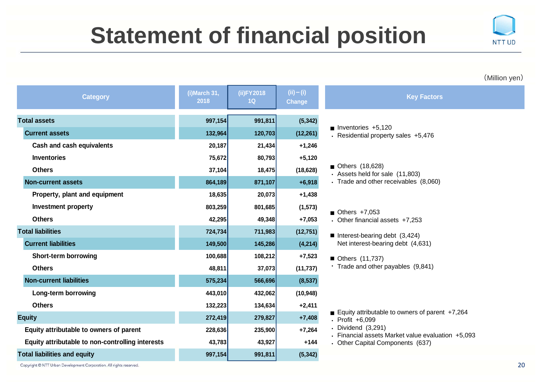# **Statement of financial position**



(Million yen)

| <b>Category</b>                                  | (i)March 31,<br>2018 | (ii)FY2018<br>1 <sub>Q</sub> | (ii) – (i)<br>Change | <b>Key Factors</b>                                                       |
|--------------------------------------------------|----------------------|------------------------------|----------------------|--------------------------------------------------------------------------|
| <b>Total assets</b>                              | 997,154              | 991,811                      | (5, 342)             |                                                                          |
| <b>Current assets</b>                            | 132,964              | 120,703                      | (12, 261)            | $\blacksquare$ Inventories +5,120<br>· Residential property sales +5,476 |
| <b>Cash and cash equivalents</b>                 | 20,187               | 21,434                       | $+1,246$             |                                                                          |
| <b>Inventories</b>                               | 75,672               | 80,793                       | $+5,120$             |                                                                          |
| <b>Others</b>                                    | 37,104               | 18,475                       | (18, 628)            | $\blacksquare$ Others (18,628)<br>· Assets held for sale (11,803)        |
| <b>Non-current assets</b>                        | 864,189              | 871,107                      | $+6,918$             | · Trade and other receivables (8,060)                                    |
| Property, plant and equipment                    | 18,635               | 20,073                       | $+1,438$             |                                                                          |
| <b>Investment property</b>                       | 803,259              | 801,685                      | (1, 573)             | Others $+7,053$                                                          |
| <b>Others</b>                                    | 42,295               | 49,348                       | $+7,053$             | • Other financial assets +7,253                                          |
| <b>Total liabilities</b>                         | 724,734              | 711,983                      | (12, 751)            | Interest-bearing debt $(3,424)$                                          |
| <b>Current liabilities</b>                       | 149,500              | 145,286                      | (4,214)              | Net interest-bearing debt (4,631)                                        |
| Short-term borrowing                             | 100,688              | 108,212                      | $+7,523$             | ■ Others (11,737)                                                        |
| <b>Others</b>                                    | 48,811               | 37,073                       | (11, 737)            | · Trade and other payables (9,841)                                       |
| <b>Non-current liabilities</b>                   | 575,234              | 566,696                      | (8, 537)             |                                                                          |
| Long-term borrowing                              | 443,010              | 432,062                      | (10, 948)            |                                                                          |
| <b>Others</b>                                    | 132,223              | 134,634                      | $+2,411$             |                                                                          |
| <b>Equity</b>                                    | 272,419              | 279,827                      | $+7,408$             | Equity attributable to owners of parent $+7,264$<br>· Profit +6,099      |
| Equity attributable to owners of parent          | 228,636              | 235,900                      | $+7,264$             | • Dividend (3,291)<br>• Financial assets Market value evaluation +5,093  |
| Equity attributable to non-controlling interests | 43,783               | 43,927                       | $+144$               | • Other Capital Components (637)                                         |
| <b>Total liabilities and equity</b>              | 997,154              | 991,811                      | (5, 342)             |                                                                          |

Copyright @ NTT Urban Development Corporation. All rights reserved.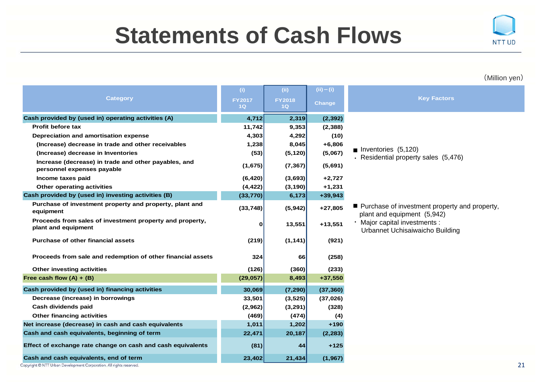# **Statements of Cash Flows**



#### (Million yen)

|                                                                                    | (i)                 | (ii)                | (ii) – (i)    |                                                                                |
|------------------------------------------------------------------------------------|---------------------|---------------------|---------------|--------------------------------------------------------------------------------|
| <b>Category</b>                                                                    | <b>FY2017</b><br>1Q | <b>FY2018</b><br>1Q | <b>Change</b> | <b>Key Factors</b>                                                             |
| Cash provided by (used in) operating activities (A)                                | 4,712               | 2,319               | (2, 392)      |                                                                                |
| Profit before tax                                                                  | 11,742              | 9,353               | (2, 388)      |                                                                                |
| Depreciation and amortisation expense                                              | 4,303               | 4,292               | (10)          |                                                                                |
| (Increase) decrease in trade and other receivables                                 | 1,238               | 8,045               | $+6,806$      |                                                                                |
| (Increase) decrease in Inventories                                                 | (53)                | (5, 120)            | (5,067)       | <b>n</b> Inventories $(5,120)$                                                 |
| Increase (decrease) in trade and other payables, and<br>personnel expenses payable | (1,675)             | (7, 367)            | (5,691)       | $\cdot$ Residential property sales (5,476)                                     |
| Income taxes paid                                                                  | (6, 420)            | (3,693)             | $+2,727$      |                                                                                |
| Other operating activities                                                         | (4, 422)            | (3, 190)            | $+1,231$      |                                                                                |
| Cash provided by (used in) investing activities (B)                                | (33, 770)           | 6,173               | $+39,943$     |                                                                                |
| Purchase of investment property and property, plant and<br>equipment               | (33, 748)           | (5,942)             | $+27,805$     | ■ Purchase of investment property and property,<br>plant and equipment (5,942) |
| Proceeds from sales of investment property and property,<br>plant and equipment    | 0                   | 13,551              | $+13,551$     | · Major capital investments :<br>Urbannet Uchisaiwaicho Building               |
| <b>Purchase of other financial assets</b>                                          | (219)               | (1, 141)            | (921)         |                                                                                |
| Proceeds from sale and redemption of other financial assets                        | 324                 | 66                  | (258)         |                                                                                |
| Other investing activities                                                         | (126)               | (360)               | (233)         |                                                                                |
| Free cash flow $(A) + (B)$                                                         | (29, 057)           | 8,493               | $+37,550$     |                                                                                |
| Cash provided by (used in) financing activities                                    | 30,069              | (7, 290)            | (37, 360)     |                                                                                |
| Decrease (increase) in borrowings                                                  | 33,501              | (3, 525)            | (37, 026)     |                                                                                |
| Cash dividends paid                                                                | (2,962)             | (3, 291)            | (328)         |                                                                                |
| <b>Other financing activities</b>                                                  | (469)               | (474)               | (4)           |                                                                                |
| Net increase (decrease) in cash and cash equivalents                               | 1,011               | 1,202               | $+190$        |                                                                                |
| Cash and cash equivalents, beginning of term                                       | 22,471              | 20,187              | (2, 283)      |                                                                                |
| Effect of exchange rate change on cash and cash equivalents                        | (81)                | 44                  | $+125$        |                                                                                |
| Cash and cash equivalents, end of term                                             | 23,402              | 21,434              | (1, 967)      |                                                                                |

Copyright @ NTT Urban Development Corporation. All rights reserved.